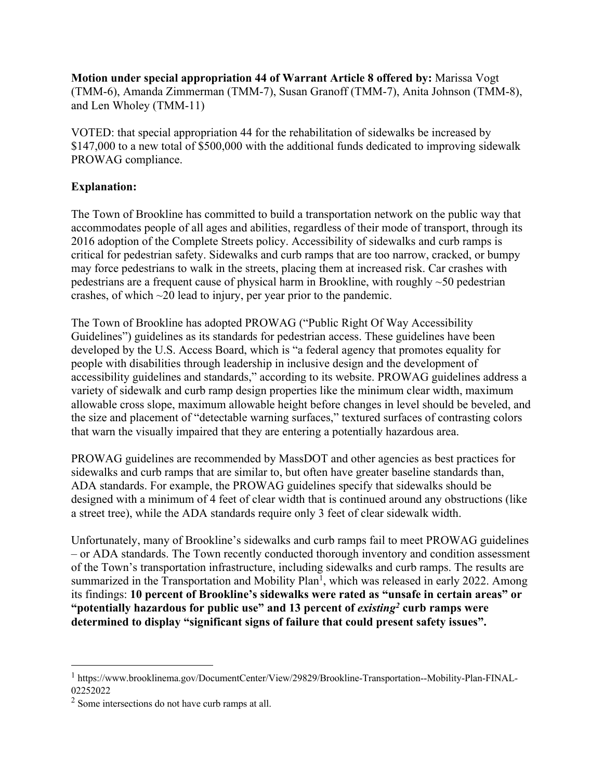**Motion under special appropriation 44 of Warrant Article 8 offered by:** Marissa Vogt (TMM-6), Amanda Zimmerman (TMM-7), Susan Granoff (TMM-7), Anita Johnson (TMM-8), and Len Wholey (TMM-11)

VOTED: that special appropriation 44 for the rehabilitation of sidewalks be increased by \$147,000 to a new total of \$500,000 with the additional funds dedicated to improving sidewalk PROWAG compliance.

## **Explanation:**

The Town of Brookline has committed to build a transportation network on the public way that accommodates people of all ages and abilities, regardless of their mode of transport, through its 2016 adoption of the Complete Streets policy. Accessibility of sidewalks and curb ramps is critical for pedestrian safety. Sidewalks and curb ramps that are too narrow, cracked, or bumpy may force pedestrians to walk in the streets, placing them at increased risk. Car crashes with pedestrians are a frequent cause of physical harm in Brookline, with roughly ~50 pedestrian crashes, of which ~20 lead to injury, per year prior to the pandemic.

The Town of Brookline has adopted PROWAG ("Public Right Of Way Accessibility Guidelines") guidelines as its standards for pedestrian access. These guidelines have been developed by the U.S. Access Board, which is "a federal agency that promotes equality for people with disabilities through leadership in inclusive design and the development of accessibility guidelines and standards," according to its website. PROWAG guidelines address a variety of sidewalk and curb ramp design properties like the minimum clear width, maximum allowable cross slope, maximum allowable height before changes in level should be beveled, and the size and placement of "detectable warning surfaces," textured surfaces of contrasting colors that warn the visually impaired that they are entering a potentially hazardous area.

PROWAG guidelines are recommended by MassDOT and other agencies as best practices for sidewalks and curb ramps that are similar to, but often have greater baseline standards than, ADA standards. For example, the PROWAG guidelines specify that sidewalks should be designed with a minimum of 4 feet of clear width that is continued around any obstructions (like a street tree), while the ADA standards require only 3 feet of clear sidewalk width.

Unfortunately, many of Brookline's sidewalks and curb ramps fail to meet PROWAG guidelines – or ADA standards. The Town recently conducted thorough inventory and condition assessment of the Town's transportation infrastructure, including sidewalks and curb ramps. The results are summarized in the Transportation and Mobility Plan<sup>1</sup>, which was released in early 2022. Among its findings: **10 percent of Brookline's sidewalks were rated as "unsafe in certain areas" or "potentially hazardous for public use" and 13 percent of** *existing2* **curb ramps were determined to display "significant signs of failure that could present safety issues".** 

<sup>1</sup> https://www.brooklinema.gov/DocumentCenter/View/29829/Brookline-Transportation--Mobility-Plan-FINAL-02252022

<sup>2</sup> Some intersections do not have curb ramps at all.